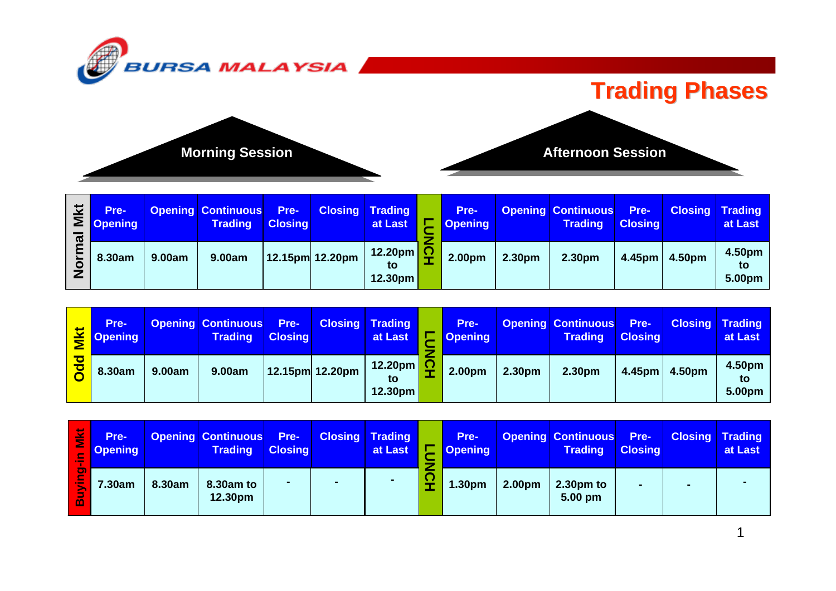

### **Trading Phases**



| $\boldsymbol{\varpi}$ | Pre-<br>$\mathbf{E}$   Opening |        | <b>Opening Continuous</b> Pre-<br><b>Trading</b> | <b>Closing</b> |                    | <b>Closing Trading</b><br>at Last  | Pre-<br><b>Opening</b> |        | <b>Opening Continuous</b> Pre-<br><b>Trading</b> | <b>Closing</b>     |        | <b>Closing Trading</b><br>at Last              |
|-----------------------|--------------------------------|--------|--------------------------------------------------|----------------|--------------------|------------------------------------|------------------------|--------|--------------------------------------------------|--------------------|--------|------------------------------------------------|
|                       | 8.30am                         | 9.00am | 9.00am                                           |                | $12.15$ pm 12.20pm | $12.20 \text{pm}$<br>to<br>12.30pm | 2.00pm                 | 2.30pm | 2.30pm                                           | 4.45 <sub>pm</sub> | 4.50pm | 4.50 <sub>pm</sub><br>to<br>5.00 <sub>pm</sub> |

|          | Pre-<br>$\leq$ Opening |        | <b>Opening Continuous</b> Pre-<br><b>Trading</b> | <b>Closing</b> |                         | <b>Closing Trading</b><br>at Last |     | Pre-<br><b>Opening</b> |        | <b>Opening Continuous</b> Pre-<br><b>Trading</b> | <b>Closing</b> | <b>Closing Trading</b> | at Last                |
|----------|------------------------|--------|--------------------------------------------------|----------------|-------------------------|-----------------------------------|-----|------------------------|--------|--------------------------------------------------|----------------|------------------------|------------------------|
| <u>ਹ</u> | 8.30am                 | 9.00am | 9.00am                                           |                | $ 12.15$ pm $ 12.20$ pm | 12.20pm<br>to<br>12.30pm          | - - | 2.00pm                 | 2.30pm | 2.30pm                                           | 4.45pm         | 4.50pm                 | 4.50pm<br>tΟ<br>5.00pm |

| 芝<br>Ξ | Pre-<br><b>Opening</b> |        | <b>Opening Continuous</b> Pre-<br><b>Trading</b> | <b>Closing</b> |                | <b>Closing Trading</b><br>at Last | Pre-<br><b>Opening</b> |                    | <b>Opening Continuous</b> Pre-<br><b>Trading</b> | <b>Closing</b> | <b>Closing Trading</b><br>at Last |
|--------|------------------------|--------|--------------------------------------------------|----------------|----------------|-----------------------------------|------------------------|--------------------|--------------------------------------------------|----------------|-----------------------------------|
|        | 7.30am                 | 8.30am | 8.30am to<br>12.30 <sub>pm</sub>                 |                | $\blacksquare$ |                                   | 1.30pm                 | 2.00 <sub>pm</sub> | $2.30pm$ to<br>$5.00 \text{ pm}$                 |                |                                   |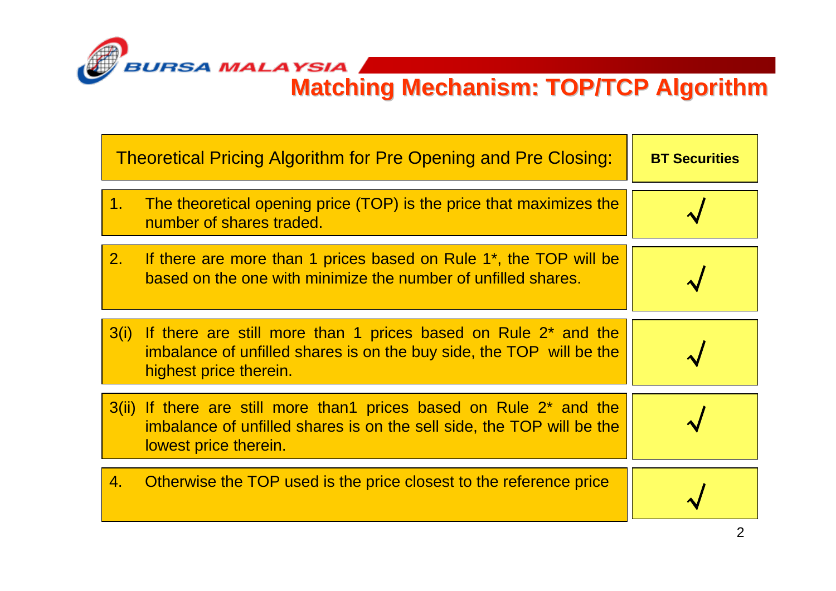

**Matching Mechanism: TOP/TCP Algorithm Matching Mechanism: TOP/TCP Algorithm**

|                | <b>Theoretical Pricing Algorithm for Pre Opening and Pre Closing:</b>                                                                                                             | <b>BT Securities</b> |
|----------------|-----------------------------------------------------------------------------------------------------------------------------------------------------------------------------------|----------------------|
| 1 <sub>1</sub> | The theoretical opening price (TOP) is the price that maximizes the<br>number of shares traded.                                                                                   |                      |
| 2.             | If there are more than 1 prices based on Rule 1 <sup>*</sup> , the TOP will be<br>based on the one with minimize the number of unfilled shares.                                   |                      |
|                | 3(i) If there are still more than 1 prices based on Rule 2 <sup>*</sup> and the<br>imbalance of unfilled shares is on the buy side, the TOP will be the<br>highest price therein. |                      |
|                | 3(ii) If there are still more than1 prices based on Rule 2 <sup>*</sup> and the<br>imbalance of unfilled shares is on the sell side, the TOP will be the<br>lowest price therein. |                      |
| 4.             | Otherwise the TOP used is the price closest to the reference price                                                                                                                |                      |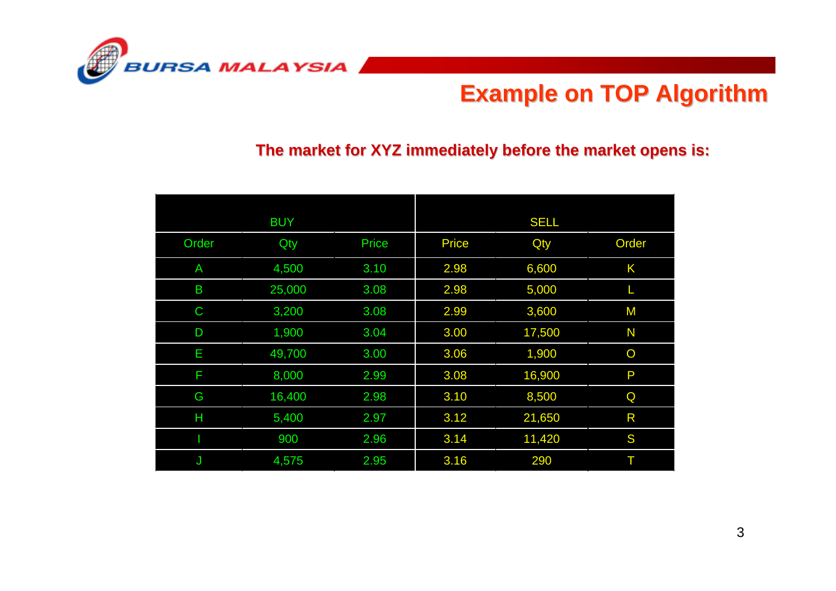

### **Example on TOP Algorithm Example on TOP Algorithm**

#### The market for XYZ immediately before the market opens is:

|             | <b>BUY</b> |       |              | <b>SELL</b> |                |
|-------------|------------|-------|--------------|-------------|----------------|
| Order       | Qty        | Price | <b>Price</b> | Qty         | Order          |
| A           | 4,500      | 3.10  | 2.98         | 6,600       | Κ              |
| B           | 25,000     | 3.08  | 2.98         | 5,000       |                |
| $\mathsf C$ | 3,200      | 3.08  | 2.99         | 3,600       | M              |
| D           | 1,900      | 3.04  | 3.00         | 17,500      | N              |
| E           | 49,700     | 3.00  | 3.06         | 1,900       | $\overline{O}$ |
| F           | 8,000      | 2.99  | 3.08         | 16,900      | P              |
| G           | 16,400     | 2.98  | 3.10         | 8,500       | Q              |
| Н           | 5,400      | 2.97  | 3.12         | 21,650      | R              |
|             | 900        | 2.96  | 3.14         | 11,420      | S              |
| J           | 4,575      | 2.95  | 3.16         | 290         | Τ              |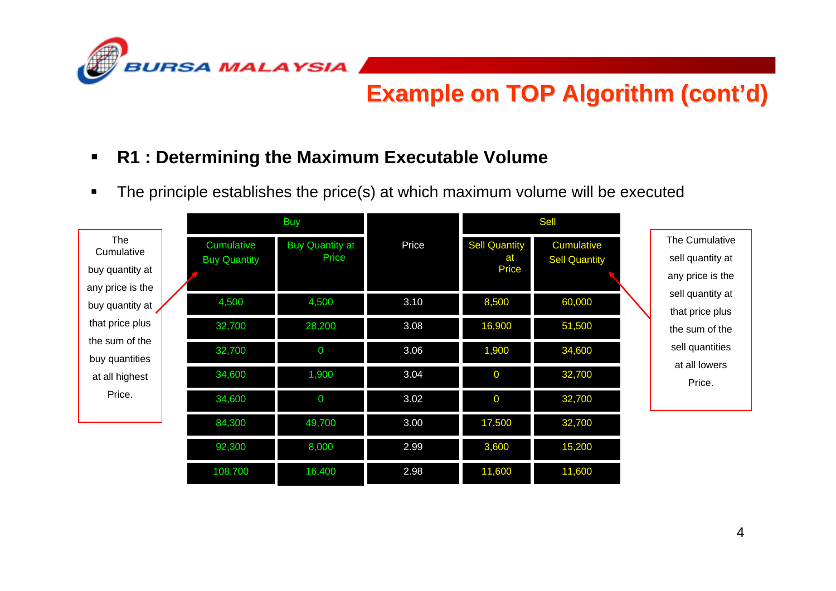

#### $\blacksquare$ **R1 : Determining the Maximum Executable Volume**

п The principle establishes the price(s) at which maximum volume will be executed

|                                                          |                                   | <b>Buy</b>                      |       |                                            | <b>Sell</b>                               |                                                        |
|----------------------------------------------------------|-----------------------------------|---------------------------------|-------|--------------------------------------------|-------------------------------------------|--------------------------------------------------------|
| The<br>Cumulative<br>buy quantity at<br>any price is the | Cumulative<br><b>Buy Quantity</b> | <b>Buy Quantity at</b><br>Price | Price | <b>Sell Quantity</b><br>at<br><b>Price</b> | <b>Cumulative</b><br><b>Sell Quantity</b> | The Cumulative<br>sell quantity at<br>any price is the |
| buy quantity at                                          | 4,500                             | 4,500                           | 3.10  | 8,500                                      | 60,000                                    | sell quantity at<br>that price plus                    |
| that price plus<br>the sum of the                        | 32,700                            | 28,200                          | 3.08  | 16,900                                     | 51,500                                    | the sum of the                                         |
| buy quantities                                           | 32,700                            | $\overline{0}$                  | 3.06  | 1,900                                      | 34,600                                    | sell quantities<br>at all lowers                       |
| at all highest                                           | 34,600                            | 1,900                           | 3.04  | $\overline{0}$                             | 32,700                                    | Price.                                                 |
| Price.                                                   | 34,600                            | $\overline{0}$                  | 3.02  | $\overline{0}$                             | 32,700                                    |                                                        |
|                                                          | 84,300                            | 49,700                          | 3.00  | 17,500                                     | 32,700                                    |                                                        |
|                                                          | 92,300                            | 8,000                           | 2.99  | 3,600                                      | 15,200                                    |                                                        |
|                                                          | 108,700                           | 16,400                          | 2.98  | 11,600                                     | 11,600                                    |                                                        |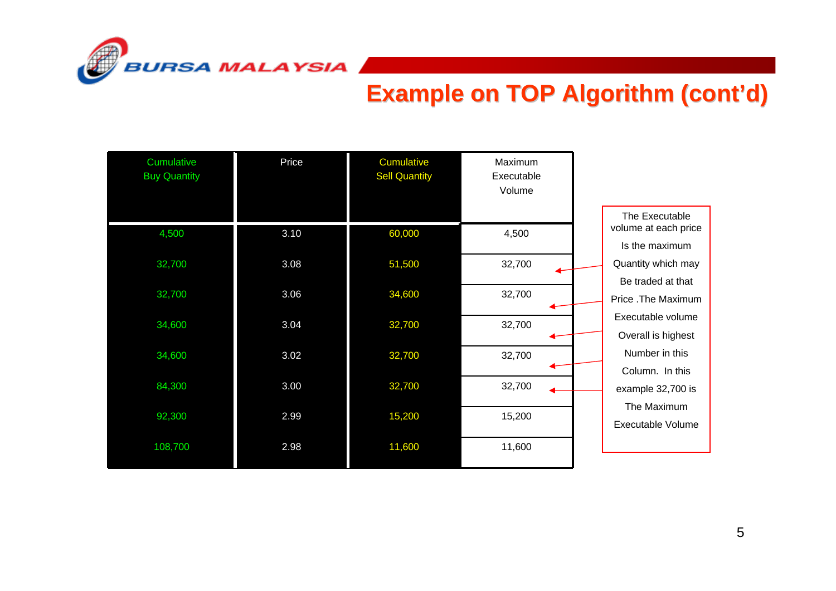

| Cumulative<br><b>Buy Quantity</b> | Price | Cumulative<br><b>Sell Quantity</b> | Maximum<br>Executable<br>Volume |                                                          |
|-----------------------------------|-------|------------------------------------|---------------------------------|----------------------------------------------------------|
| 4,500                             | 3.10  | 60,000                             | 4,500                           | The Executable<br>volume at each price<br>Is the maximum |
| 32,700                            | 3.08  | 51,500                             | 32,700                          | Quantity which may<br>Be traded at that                  |
| 32,700                            | 3.06  | 34,600                             | 32,700                          | Price .The Maximum                                       |
| 34,600                            | 3.04  | 32,700                             | 32,700                          | Executable volume<br>Overall is highest                  |
| 34,600                            | 3.02  | 32,700                             | 32,700                          | Number in this<br>Column. In this                        |
| 84,300                            | 3.00  | 32,700                             | 32,700                          | example 32,700 is<br>The Maximum                         |
| 92,300                            | 2.99  | 15,200                             | 15,200                          | Executable Volume                                        |
| 108,700                           | 2.98  | 11,600                             | 11,600                          |                                                          |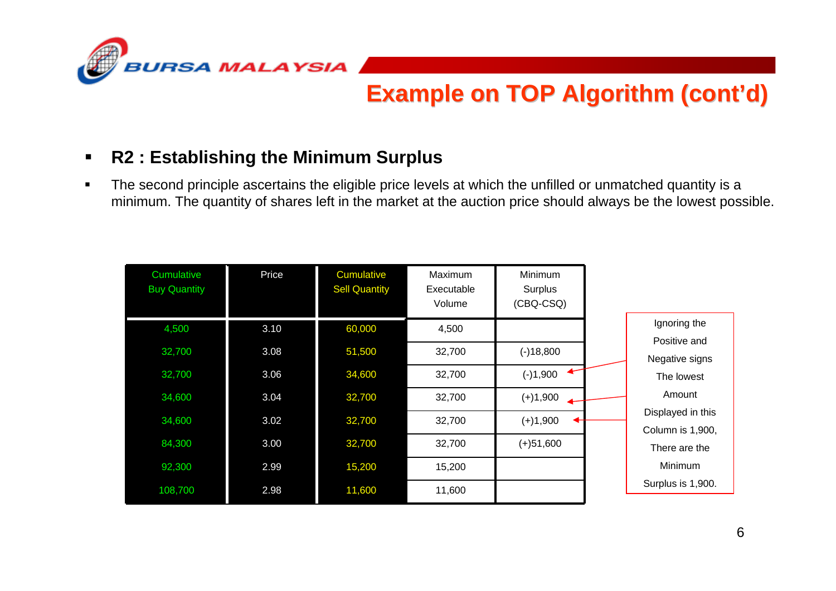

#### $\blacksquare$ **R2 : Establishing the Minimum Surplus**

 $\blacksquare$  The second principle ascertains the eligible price levels at which the unfilled or unmatched quantity is a minimum. The quantity of shares left in the market at the auction price should always be the lowest possible.

| Cumulative<br><b>Buy Quantity</b> | Price | <b>Cumulative</b><br><b>Sell Quantity</b> | Maximum<br>Executable<br>Volume | Minimum<br>Surplus<br>(CBQ-CSQ) |                                       |
|-----------------------------------|-------|-------------------------------------------|---------------------------------|---------------------------------|---------------------------------------|
| 4,500                             | 3.10  | 60,000                                    | 4,500                           |                                 | Ignoring the                          |
| 32,700                            | 3.08  | 51,500                                    | 32,700                          | $(-)18,800$                     | Positive and<br>Negative signs        |
| 32,700                            | 3.06  | 34,600                                    | 32,700                          | $(-)1,900$                      | The lowest                            |
| 34,600                            | 3.04  | 32,700                                    | 32,700                          | $(+)1,900$                      | Amount                                |
| 34,600                            | 3.02  | 32,700                                    | 32,700                          | $(+)1,900$                      | Displayed in this<br>Column is 1,900, |
| 84,300                            | 3.00  | 32,700                                    | 32,700                          | $(+)51,600$                     | There are the                         |
| 92,300                            | 2.99  | 15,200                                    | 15,200                          |                                 | Minimum                               |
| 108,700                           | 2.98  | 11,600                                    | 11,600                          |                                 | Surplus is 1,900.                     |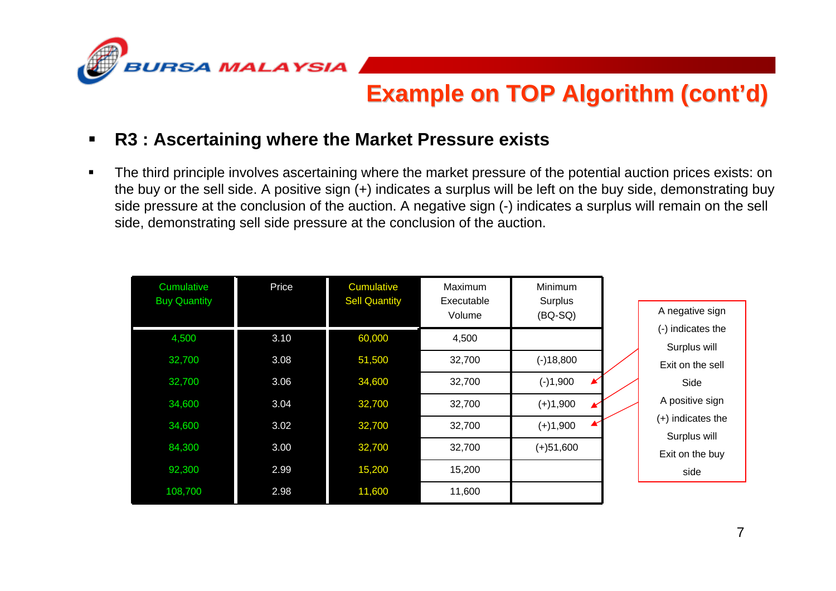

#### П **R3 : Ascertaining where the Market Pressure exists**

 The third principle involves ascertaining where the market pressure of the potential auction prices exists: on the buy or the sell side. A positive sign (+) indicates a surplus will be left on the buy side, demonstrating buy side pressure at the conclusion of the auction. A negative sign (-) indicates a surplus will remain on the sell side, demonstrating sell side pressure at the conclusion of the auction.

| Cumulative<br><b>Buy Quantity</b> | Price | <b>Cumulative</b><br><b>Sell Quantity</b> | Maximum<br>Executable<br>Volume | <b>Minimum</b><br>Surplus<br>$(BO-SQ)$ | A negative sign                     |
|-----------------------------------|-------|-------------------------------------------|---------------------------------|----------------------------------------|-------------------------------------|
| 4,500                             | 3.10  | 60,000                                    | 4,500                           |                                        | (-) indicates the<br>Surplus will   |
| 32,700                            | 3.08  | 51,500                                    | 32,700                          | $(-)18,800$                            | Exit on the sell                    |
| 32,700                            | 3.06  | 34,600                                    | 32,700                          | $\blacktriangleright$<br>$(-)1,900$    | Side                                |
| 34,600                            | 3.04  | 32,700                                    | 32,700                          | $(+)1,900$<br>$\overline{\mathbf{K}}$  | A positive sign                     |
| 34,600                            | 3.02  | 32,700                                    | 32,700                          | $(+)1,900$                             | $(+)$ indicates the<br>Surplus will |
| 84,300                            | 3.00  | 32,700                                    | 32,700                          | $(+)51,600$                            | Exit on the buy                     |
| 92,300                            | 2.99  | 15,200                                    | 15,200                          |                                        | side                                |
| 108,700                           | 2.98  | 11,600                                    | 11,600                          |                                        |                                     |